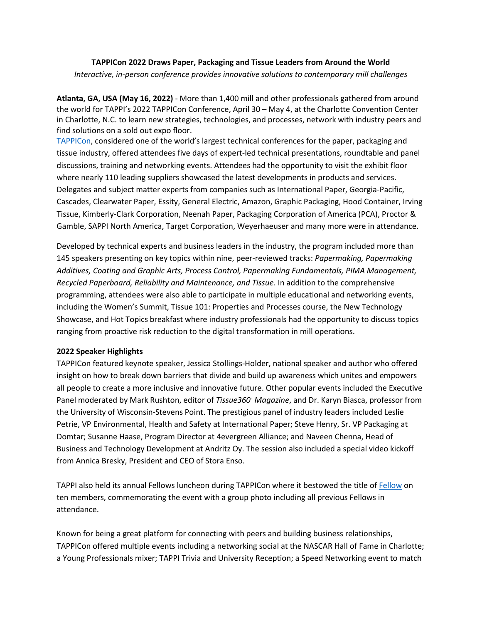## **TAPPICon 2022 Draws Paper, Packaging and Tissue Leaders from Around the World**

*Interactive, in-person conference provides innovative solutions to contemporary mill challenges* 

**Atlanta, GA, USA (May 16, 2022)** - More than 1,400 mill and other professionals gathered from around the world for TAPPI's 2022 TAPPICon Conference, April 30 – May 4, at the Charlotte Convention Center in Charlotte, N.C. to learn new strategies, technologies, and processes, network with industry peers and find solutions on a sold out expo floor.

[TAPPICon,](https://tappicon.org/?_TAPPICon_) considered one of the world's largest technical conferences for the paper, packaging and tissue industry, offered attendees five days of expert-led technical presentations, roundtable and panel discussions, training and networking events. Attendees had the opportunity to visit the exhibit floor where nearly 110 leading suppliers showcased the latest developments in products and services. Delegates and subject matter experts from companies such as International Paper, Georgia-Pacific, Cascades, Clearwater Paper, Essity, General Electric, Amazon, Graphic Packaging, Hood Container, Irving Tissue, Kimberly-Clark Corporation, Neenah Paper, Packaging Corporation of America (PCA), Proctor & Gamble, SAPPI North America, Target Corporation, Weyerhaeuser and many more were in attendance.

Developed by technical experts and business leaders in the industry, the program included more than 145 speakers presenting on key topics within nine, peer-reviewed tracks: *Papermaking, Papermaking Additives, Coating and Graphic Arts, Process Control, Papermaking Fundamentals, PIMA Management, Recycled Paperboard, Reliability and Maintenance, and Tissue*. In addition to the comprehensive programming, attendees were also able to participate in multiple educational and networking events, including the Women's Summit, Tissue 101: Properties and Processes course, the New Technology Showcase, and Hot Topics breakfast where industry professionals had the opportunity to discuss topics ranging from proactive risk reduction to the digital transformation in mill operations.

## **2022 Speaker Highlights**

TAPPICon featured keynote speaker, Jessica Stollings-Holder, national speaker and author who offered insight on how to break down barriers that divide and build up awareness which unites and empowers all people to create a more inclusive and innovative future. Other popular events included the Executive Panel moderated by Mark Rushton, editor of *Tissue360◦ Magazine*, and Dr. Karyn Biasca, professor from the University of Wisconsin-Stevens Point. The prestigious panel of industry leaders included Leslie Petrie, VP Environmental, Health and Safety at International Paper; Steve Henry, Sr. VP Packaging at Domtar; Susanne Haase, Program Director at 4evergreen Alliance; and Naveen Chenna, Head of Business and Technology Development at Andritz Oy. The session also included a special video kickoff from Annica Bresky, President and CEO of Stora Enso.

TAPPI also held its annual Fellows luncheon during TAPPICon where it bestowed the title o[f Fellow](https://tappicon.org/awards/tappi-fellows/) on ten members, commemorating the event with a group photo including all previous Fellows in attendance.

Known for being a great platform for connecting with peers and building business relationships, TAPPICon offered multiple events including a networking social at the NASCAR Hall of Fame in Charlotte; a Young Professionals mixer; TAPPI Trivia and University Reception; a Speed Networking event to match